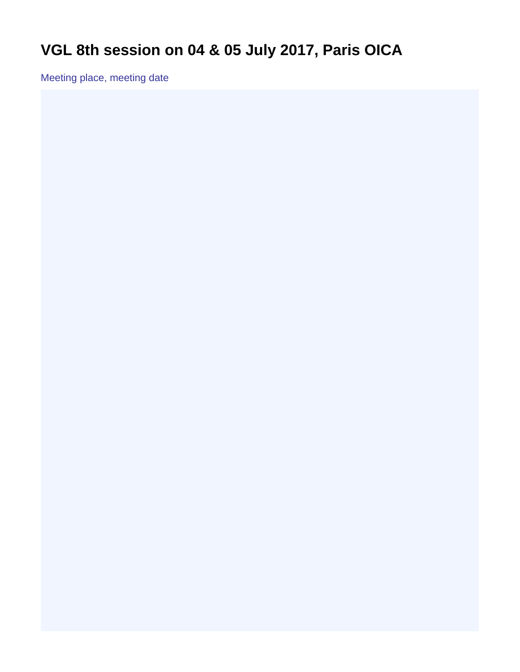## <span id="page-0-0"></span>**VGL 8th session on 04 & 05 July 2017, Paris OICA**

Meeting place, meeting date